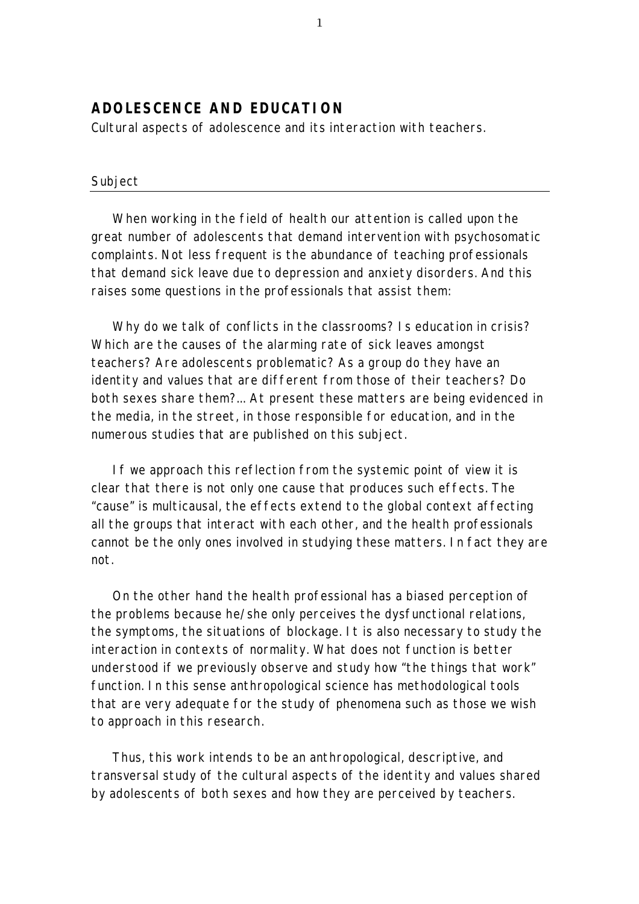# **ADOLESCENCE AND EDUCATION**

*Cultural aspects of adolescence and its interaction with teachers.*

## *Subject*

When working in the field of health our attention is called upon the great number of adolescents that demand intervention with psychosomatic complaints. Not less frequent is the abundance of teaching professionals that demand sick leave due to depression and anxiety disorders. And this raises some questions in the professionals that assist them:

Why do we talk of conflicts in the classrooms? Is education in crisis? Which are the causes of the alarming rate of sick leaves amongst teachers? Are adolescents problematic? As a group do they have an identity and values that are different from those of their teachers? Do both sexes share them?... At present these matters are being evidenced in the media, in the street, in those responsible for education, and in the numerous studies that are published on this subject.

If we approach this reflection from the systemic point of view it is clear that there is not only one cause that produces such effects. The "cause" is multicausal, the effects extend to the global context affecting all the groups that interact with each other, and the health professionals cannot be the only ones involved in studying these matters. In fact they are not.

On the other hand the health professional has a biased perception of the problems because he/she only perceives the dysfunctional relations, the symptoms, the situations of blockage. It is also necessary to study the interaction in contexts of normality. What does not function is better understood if we previously observe and study how "the things that work" function. In this sense anthropological science has methodological tools that are very adequate for the study of phenomena such as those we wish to approach in this research.

Thus, this work intends to be an anthropological, descriptive, and transversal study of the cultural aspects of the identity and values shared by adolescents of both sexes and how they are perceived by teachers.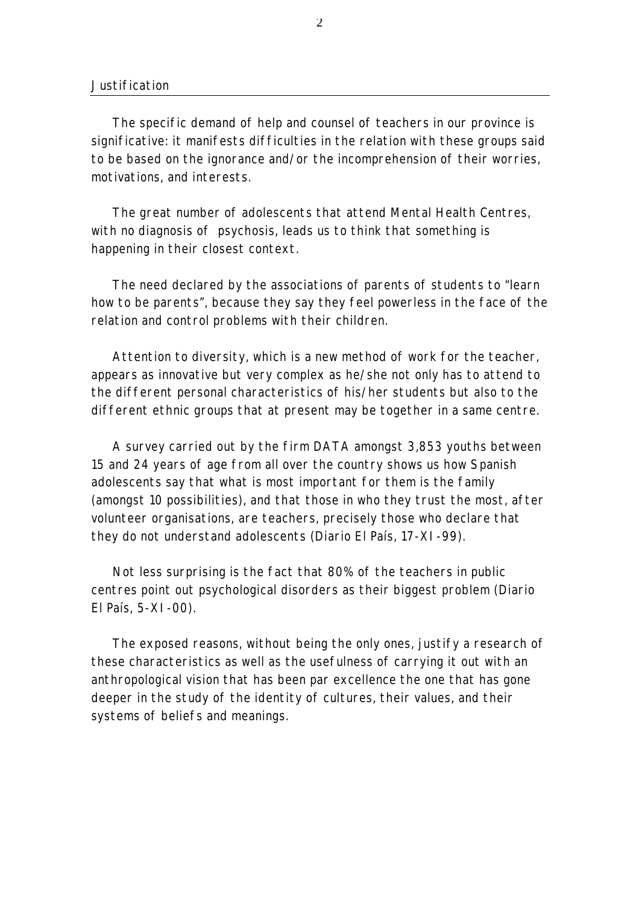### *Justification*

The specific demand of help and counsel of teachers in our province is significative: it manifests difficulties in the relation with these groups said to be based on the ignorance and/or the incomprehension of their worries, motivations, and interests.

The great number of adolescents that attend Mental Health Centres, with no diagnosis of psychosis, leads us to think that something is happening in their closest context.

The need declared by the associations of parents of students to "learn how to be parents", because they say they feel powerless in the face of the relation and control problems with their children.

Attention to diversity, which is a new method of work for the teacher, appears as innovative but very complex as he/she not only has to attend to the different personal characteristics of his/her students but also to the different ethnic groups that at present may be together in a same centre.

A survey carried out by the firm DATA amongst 3,853 youths between 15 and 24 years of age from all over the country shows us how Spanish adolescents say that what is most important for them is the family (amongst 10 possibilities), and that those in who they trust the most, after volunteer organisations, are teachers, precisely those who declare that they do not understand adolescents (*Diario El País*, 17-XI-99).

Not less surprising is the fact that 80% of the teachers in public centres point out psychological disorders as their biggest problem (*Diario El País*, 5-XI-00).

The exposed reasons, without being the only ones, justify a research of these characteristics as well as the usefulness of carrying it out with an anthropological vision that has been par excellence the one that has gone deeper in the study of the identity of cultures, their values, and their systems of beliefs and meanings.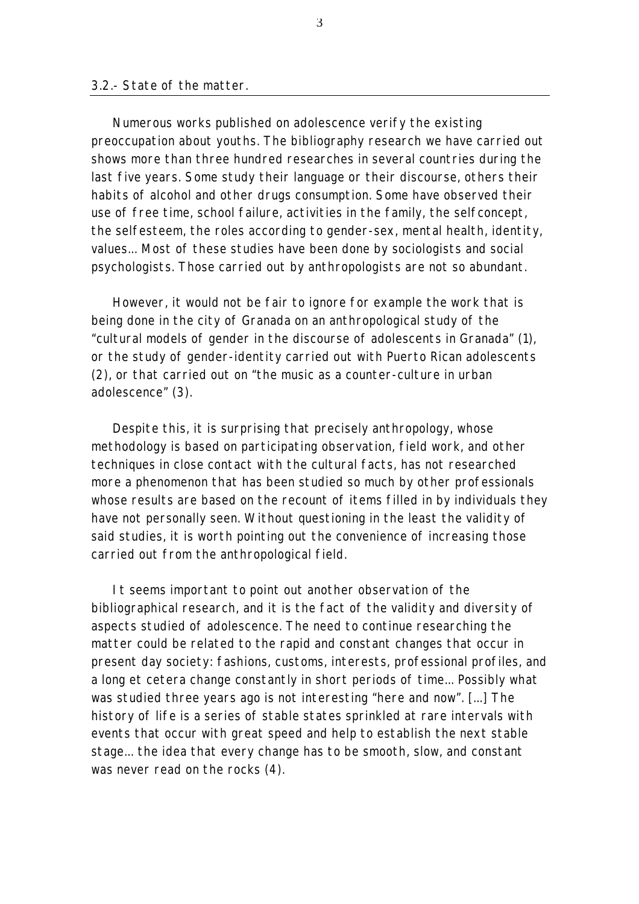#### *3.2.- State of the matter.*

Numerous works published on adolescence verify the existing preoccupation about youths. The bibliography research we have carried out shows more than three hundred researches in several countries during the last five years. Some study their language or their discourse, others their habits of alcohol and other drugs consumption. Some have observed their use of free time, school failure, activities in the family, the selfconcept, the selfesteem, the roles according to gender-sex, mental health, identity, values... Most of these studies have been done by sociologists and social psychologists. Those carried out by anthropologists are not so abundant.

However, it would not be fair to ignore for example the work that is being done in the city of Granada on an anthropological study of the "cultural models of gender in the discourse of adolescents in Granada" (1), or the study of gender-identity carried out with Puerto Rican adolescents (2), or that carried out on "the music as a counter-culture in urban adolescence" (3).

Despite this, it is surprising that precisely anthropology, whose methodology is based on participating observation, field work, and other techniques in close contact with the cultural facts, has not researched more a phenomenon that has been studied so much by other professionals whose results are based on the recount of items filled in by individuals they have not personally seen. Without questioning in the least the validity of said studies, it is worth pointing out the convenience of increasing those carried out from the anthropological field.

It seems important to point out another observation of the bibliographical research, and it is the fact of the validity and diversity of aspects studied of adolescence. The need to continue researching the matter could be related to the rapid and constant changes that occur in present day society: fashions, customs, interests, professional profiles, and a long et cetera change constantly in short periods of time... Possibly what was studied three years ago is not interesting "here and now". [...] The history of life is a series of stable states sprinkled at rare intervals with events that occur with great speed and help to establish the next stable stage... the idea that every change has to be smooth, slow, and constant was never read on the rocks (4).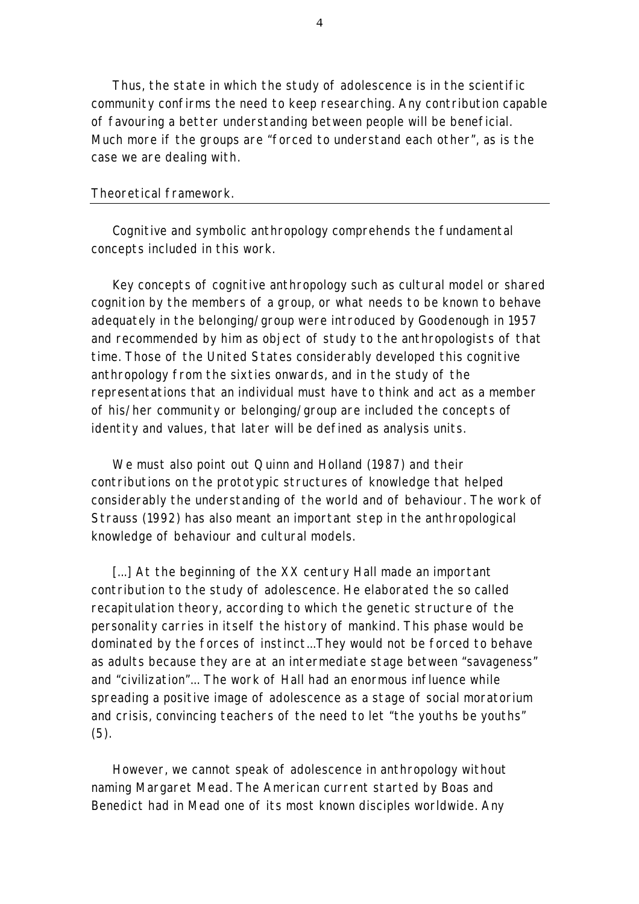Thus, the state in which the study of adolescence is in the scientific community confirms the need to keep researching. Any contribution capable of favouring a better understanding between people will be beneficial. Much more if the groups are "forced to understand each other", as is the case we are dealing with.

### *Theoretical framework.*

Cognitive and symbolic anthropology comprehends the fundamental concepts included in this work.

Key concepts of cognitive anthropology such as cultural model or shared cognition by the members of a group, or what needs to be known to behave adequately in the belonging/group were introduced by Goodenough in 1957 and recommended by him as object of study to the anthropologists of that time. Those of the United States considerably developed this cognitive anthropology from the sixties onwards, and in the study of the representations that an individual must have to think and act as a member of his/her community or belonging/group are included the concepts of identity and values, that later will be defined as analysis units.

We must also point out Quinn and Holland (1987) and their contributions on the prototypic structures of knowledge that helped considerably the understanding of the world and of behaviour. The work of Strauss (1992) has also meant an important step in the anthropological knowledge of behaviour and cultural models.

[...] At the beginning of the XX century Hall made an important contribution to the study of adolescence. He elaborated the so called recapitulation theory, according to which the genetic structure of the personality carries in itself the history of mankind. This phase would be dominated by the forces of instinct...They would not be forced to behave as adults because they are at an intermediate stage between "savageness" and "civilization"... The work of Hall had an enormous influence while spreading a positive image of adolescence as a stage of social moratorium and crisis, convincing teachers of the need to let "the youths be youths" (5).

However, we cannot speak of adolescence in anthropology without naming Margaret Mead. The American current started by Boas and Benedict had in Mead one of its most known disciples worldwide. Any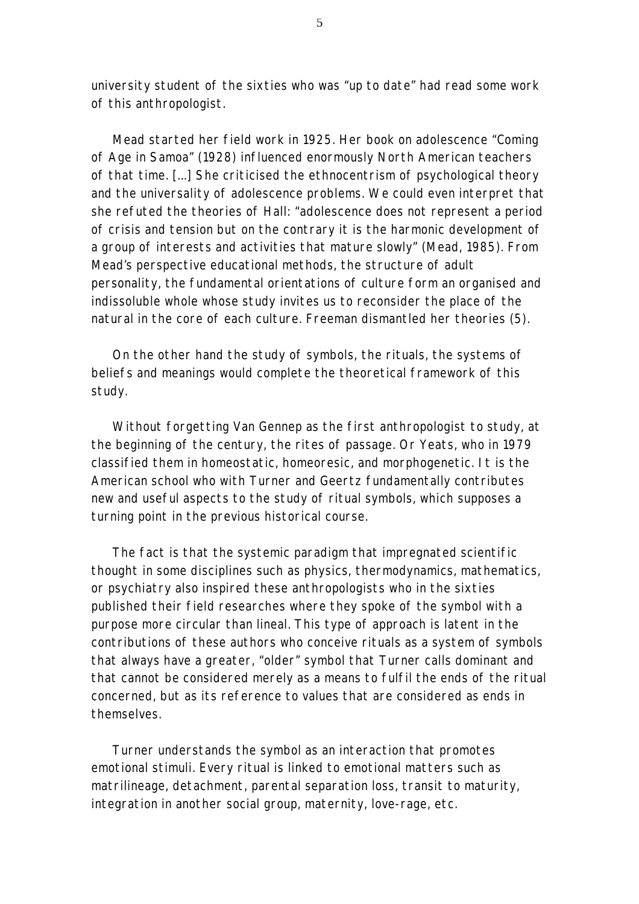university student of the sixties who was "up to date" had read some work of this anthropologist.

Mead started her field work in 1925. Her book on adolescence "Coming of Age in Samoa" (1928) influenced enormously North American teachers of that time. [...] She criticised the ethnocentrism of psychological theory and the universality of adolescence problems. We could even interpret that she refuted the theories of Hall: "adolescence does not represent a period of crisis and tension but on the contrary it is the harmonic development of a group of interests and activities that mature slowly" (Mead, 1985). From Mead's perspective educational methods, the structure of adult personality, the fundamental orientations of culture form an organised and indissoluble whole whose study invites us to reconsider the place of the natural in the core of each culture. Freeman dismantled her theories (5).

On the other hand the study of symbols, the rituals, the systems of beliefs and meanings would complete the theoretical framework of this study.

Without forgetting Van Gennep as the first anthropologist to study, at the beginning of the century, the rites of passage. Or Yeats, who in 1979 classified them in homeostatic, homeoresic, and morphogenetic. It is the American school who with Turner and Geertz fundamentally contributes new and useful aspects to the study of ritual symbols, which supposes a turning point in the previous historical course.

The fact is that the systemic paradigm that impregnated scientific thought in some disciplines such as physics, thermodynamics, mathematics, or psychiatry also inspired these anthropologists who in the sixties published their field researches where they spoke of the symbol with a purpose more circular than lineal. This type of approach is latent in the contributions of these authors who conceive rituals as a system of symbols that always have a greater, "older" symbol that Turner calls *dominant* and that cannot be considered merely as a means to fulfil the ends of the ritual concerned, but as its reference to values that are considered as ends in themselves.

Turner understands the symbol as an interaction that promotes emotional stimuli. Every ritual is linked to emotional matters such as matrilineage, detachment, parental separation loss, transit to maturity, integration in another social group, maternity, love-rage, etc.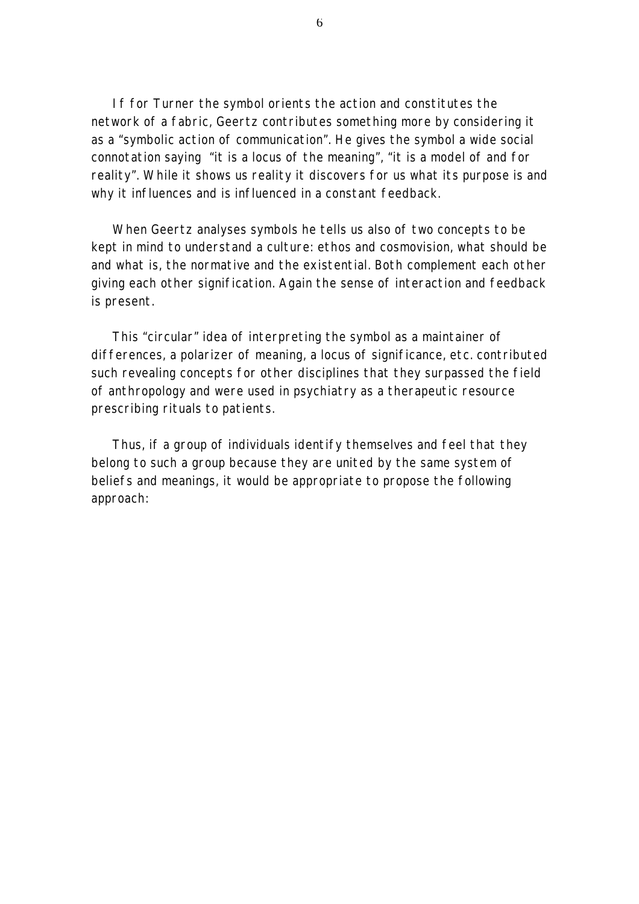If for Turner the symbol orients the action and constitutes the network of a fabric, Geertz contributes something more by considering it as a "symbolic action of communication". He gives the symbol a wide social connotation saying "it is a locus of the meaning", "it is a model of and for reality". While it shows us reality it discovers for us what its purpose is and why it influences and is influenced in a constant feedback.

When Geertz analyses symbols he tells us also of two concepts to be kept in mind to understand a culture: ethos and cosmovision, what should be and what is, the normative and the existential. Both complement each other giving each other signification. Again the sense of interaction and feedback is present.

This "circular" idea of interpreting the symbol as a maintainer of differences, a polarizer of meaning, a locus of significance, etc. contributed such revealing concepts for other disciplines that they surpassed the field of anthropology and were used in psychiatry as a therapeutic resource prescribing rituals to patients.

Thus, if a group of individuals identify themselves and feel that they belong to such a group because they are united by the same system of beliefs and meanings, it would be appropriate to propose the following approach: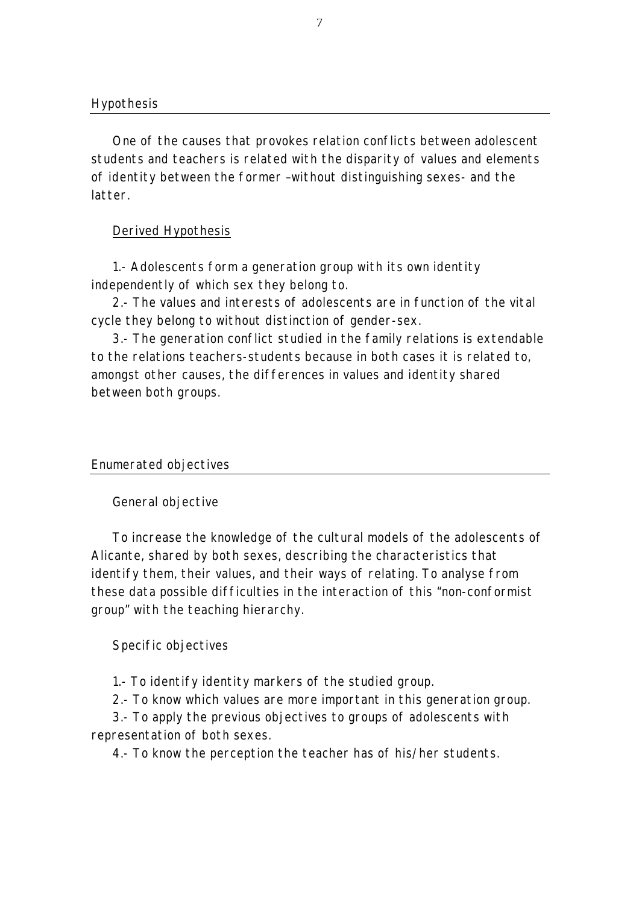One of the causes that provokes relation conflicts between adolescent students and teachers is related with the disparity of values and elements of identity between the former –without distinguishing sexes- and the latter.

# Derived Hypothesis

1.- Adolescents form a generation group with its own identity independently of which sex they belong to.

2.- The values and interests of adolescents are in function of the vital cycle they belong to without distinction of gender-sex.

3.- The generation conflict studied in the family relations is extendable to the relations teachers-students because in both cases it is related to, amongst other causes, the differences in values and identity shared between both groups.

## *Enumerated objectives*

## General objective

To increase the knowledge of the cultural models of the adolescents of Alicante, shared by both sexes, describing the characteristics that identify them, their values, and their ways of relating. To analyse from these data possible difficulties in the interaction of this "non-conformist group" with the teaching hierarchy.

# Specific objectives

1.- To identify identity markers of the studied group.

2.- To know which values are more important in this generation group.

3.- To apply the previous objectives to groups of adolescents with representation of both sexes.

4.- To know the perception the teacher has of his/her students.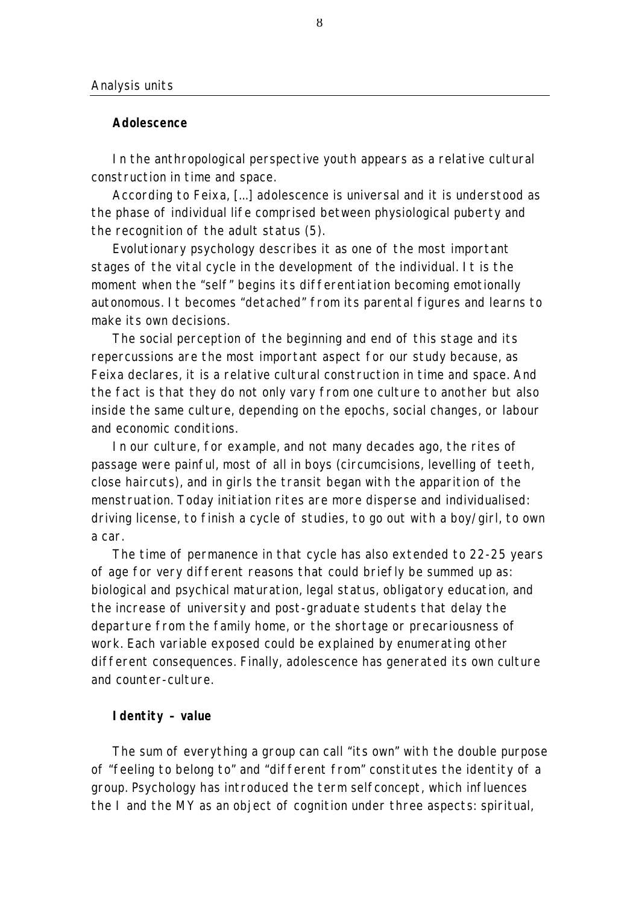### **Adolescence**

In the anthropological perspective youth appears as a relative cultural construction in time and space.

According to Feixa, [...] adolescence is universal and it is understood as the phase of individual life comprised between physiological puberty and the recognition of the adult status (5).

Evolutionary psychology describes it as one of the most important stages of the vital cycle in the development of the individual. It is the moment when the "self" begins its differentiation becoming emotionally autonomous. It becomes "detached" from its parental figures and learns to make its own decisions.

The social perception of the beginning and end of this stage and its repercussions are the most important aspect for our study because, as Feixa declares, it is a relative cultural construction in time and space. And the fact is that they do not only vary from one culture to another but also inside the same culture, depending on the epochs, social changes, or labour and economic conditions.

In our culture, for example, and not many decades ago, the rites of passage were painful, most of all in boys (circumcisions, levelling of teeth, close haircuts), and in girls the transit began with the apparition of the menstruation. Today initiation rites are more disperse and individualised: driving license, to finish a cycle of studies, to go out with a boy/girl, to own a car.

The time of permanence in that cycle has also extended to 22-25 years of age for very different reasons that could briefly be summed up as: biological and psychical maturation, legal status, obligatory education, and the increase of university and post-graduate students that delay the departure from the family home, or the shortage or precariousness of work. Each variable exposed could be explained by enumerating other different consequences. Finally, adolescence has generated its own culture and counter-culture.

# **Identity – value**

The sum of everything a group can call "its own" with the double purpose of "feeling to belong to" and "different from" constitutes the identity of a group. Psychology has introduced the term selfconcept, which influences the I and the MY as an object of cognition under three aspects: spiritual,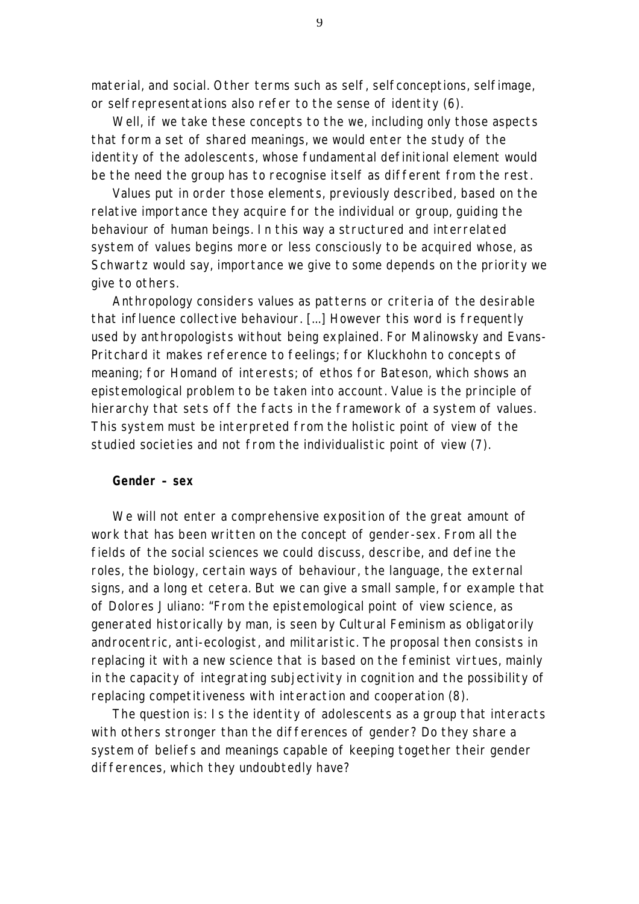material, and social. Other terms such as self, selfconceptions, selfimage, or selfrepresentations also refer to the sense of identity (6).

Well, if we take these concepts to the *we*, including only those aspects that form a set of shared meanings, we would enter the study of the identity of the adolescents, whose fundamental definitional element would be the need the group has *to recognise itself as different* from the rest.

Values put in order those elements, previously described, based on the relative importance they acquire for the individual or group, guiding the behaviour of human beings. In this way a structured and interrelated system of values begins more or less consciously to be acquired whose, as Schwartz would say, importance we give to some depends on the priority we give to others.

Anthropology considers values as patterns or criteria of the desirable that influence collective behaviour. [...] However this word is frequently used by anthropologists without being explained. For Malinowsky and Evans-Pritchard it makes reference to feelings; for Kluckhohn to concepts of meaning; for Homand of interests; of ethos for Bateson, which shows an epistemological problem to be taken into account. Value is the principle of hierarchy that sets off the facts in the framework of a system of values. This system must be interpreted from the holistic point of view of the studied societies and not from the individualistic point of view (7).

#### **Gender – sex**

We will not enter a comprehensive exposition of the great amount of work that has been written on the concept of gender-sex. From all the fields of the social sciences we could discuss, describe, and define the roles, the biology, certain ways of behaviour, the language, the external signs, and a long et cetera. But we can give a small sample, for example that of Dolores Juliano: "From the epistemological point of view science, as generated historically by man, is seen by Cultural Feminism as obligatorily androcentric, anti-ecologist, and militaristic. The proposal then consists in replacing it with a *new science* that is based on the feminist virtues, mainly in the capacity of integrating subjectivity in cognition and the possibility of replacing competitiveness with interaction and cooperation (8).

The question is: Is the identity of adolescents as a group that interacts with others stronger than the differences of gender? Do they share a system of beliefs and meanings capable of keeping together their gender differences, which they undoubtedly have?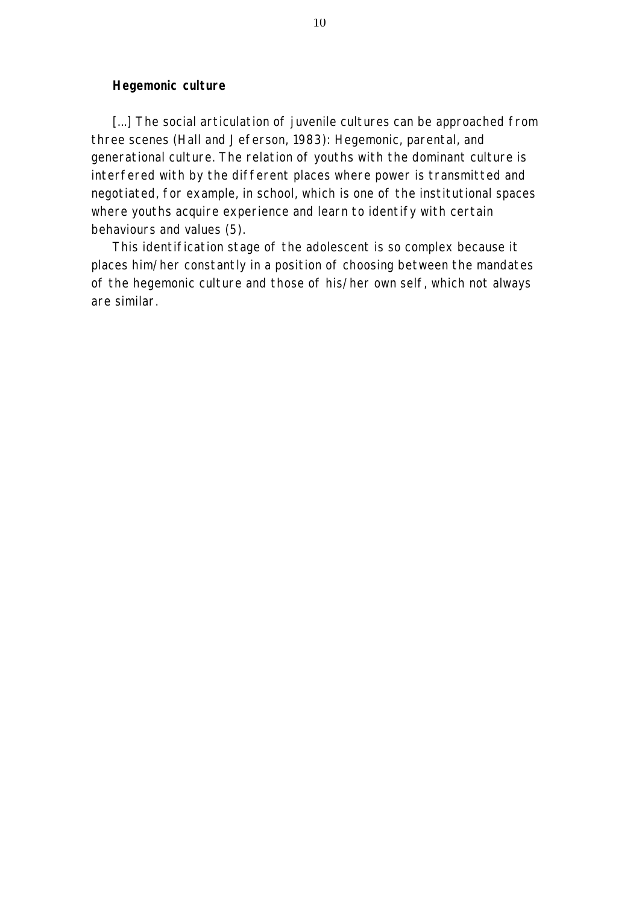### **Hegemonic culture**

[...] The social articulation of juvenile cultures can be approached from three scenes (Hall and Jeferson, 1983): Hegemonic, parental, and generational culture. The relation of youths with the dominant culture is interfered with by the different places where power is transmitted and negotiated, for example, in school, which is one of the institutional spaces where youths acquire experience and learn to identify with certain behaviours and values (5).

This identification stage of the adolescent is so complex because it places him/her constantly in a position of choosing between the mandates of the hegemonic culture and those of his/her own self, which not always are similar.